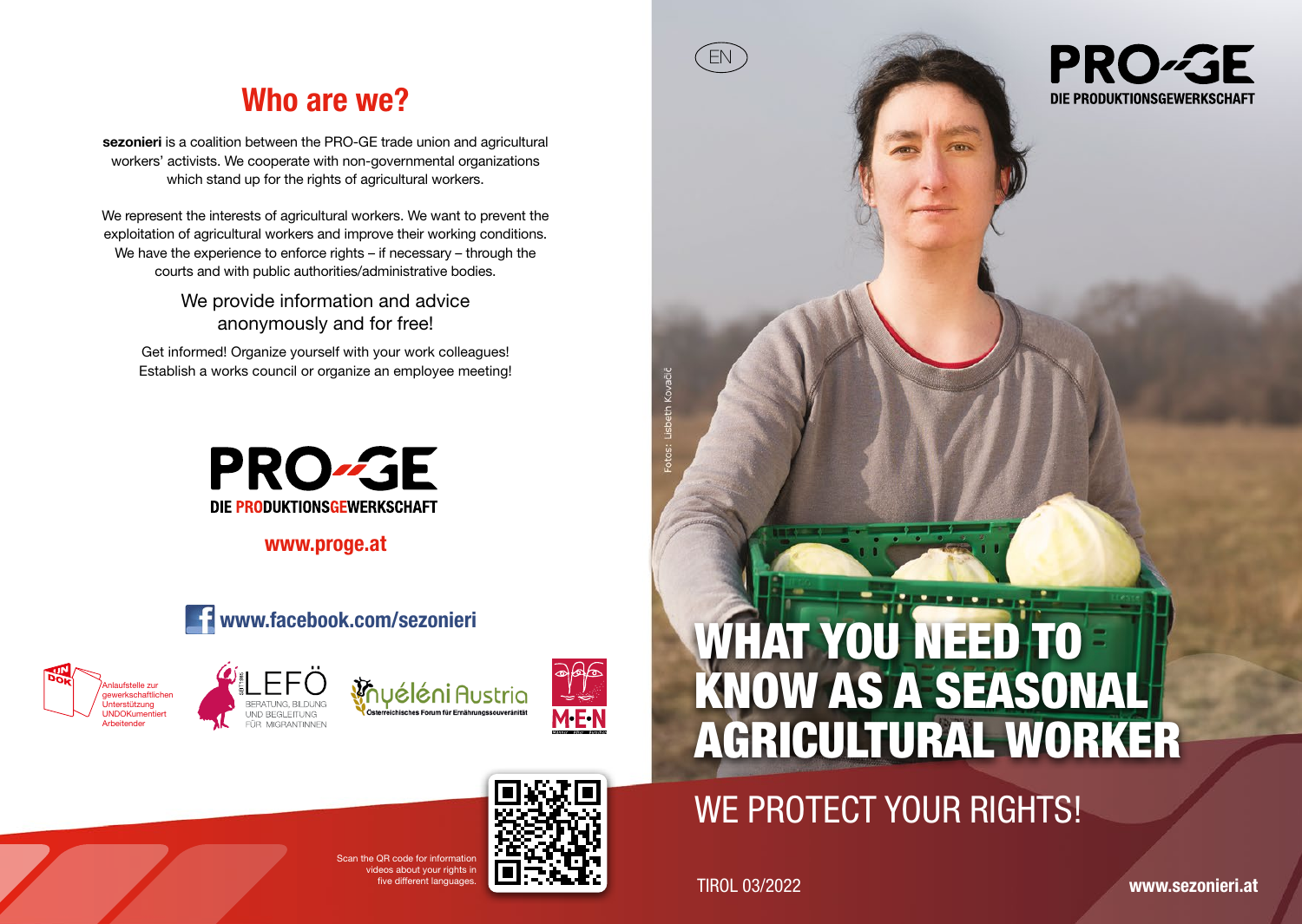# Who are we?

sezonieri is a coalition between the PRO-GE trade union and agricultural workers' activists. We cooperate with non-governmental organizations which stand up for the rights of agricultural workers.

We represent the interests of agricultural workers. We want to prevent the exploitation of agricultural workers and improve their working conditions. We have the experience to enforce rights – if necessary – through the courts and with public authorities/administrative bodies.

> We provide information and advice anonymously and for free!

Get informed! Organize yourself with your work colleagues! Establish a works council or organize an employee meeting!



www.proge.at











# WE PROTECT YOUR RIGHTS!

Figure different languages. The contract of the contract of the TIROL 03/2022

EN

**PRO-GE** DIE PRODUKTIONSGEWERKSCHAFT

www.sezonieri.at

 $S_{\text{S}} \cap B$  and for information ideos about your rights in